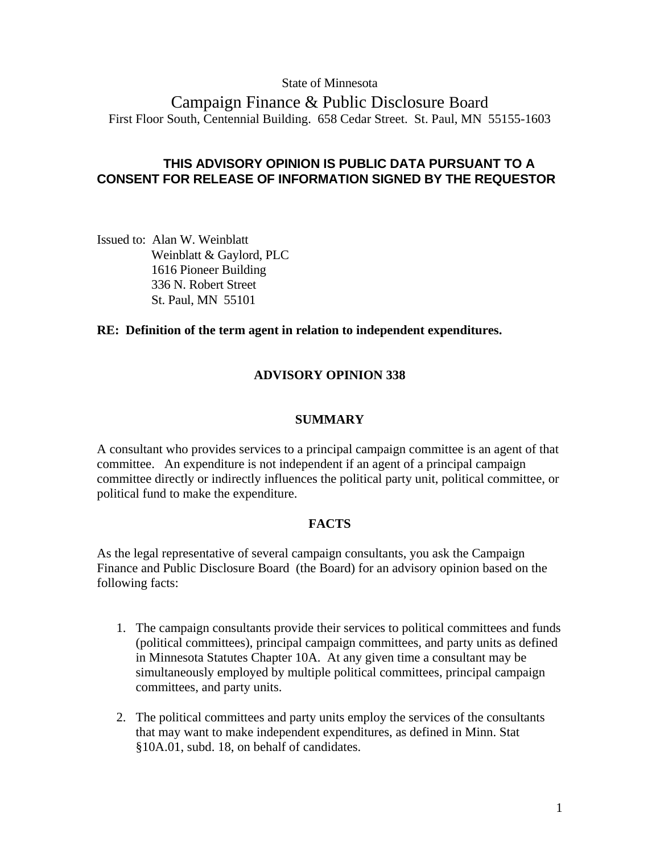### State of Minnesota

Campaign Finance & Public Disclosure Board First Floor South, Centennial Building. 658 Cedar Street. St. Paul, MN 55155-1603

# **THIS ADVISORY OPINION IS PUBLIC DATA PURSUANT TO A CONSENT FOR RELEASE OF INFORMATION SIGNED BY THE REQUESTOR**

Issued to: Alan W. Weinblatt Weinblatt & Gaylord, PLC 1616 Pioneer Building 336 N. Robert Street St. Paul, MN 55101

### **RE: Definition of the term agent in relation to independent expenditures.**

## **ADVISORY OPINION 338**

### **SUMMARY**

A consultant who provides services to a principal campaign committee is an agent of that committee. An expenditure is not independent if an agent of a principal campaign committee directly or indirectly influences the political party unit, political committee, or political fund to make the expenditure.

## **FACTS**

As the legal representative of several campaign consultants, you ask the Campaign Finance and Public Disclosure Board (the Board) for an advisory opinion based on the following facts:

- 1. The campaign consultants provide their services to political committees and funds (political committees), principal campaign committees, and party units as defined in Minnesota Statutes Chapter 10A. At any given time a consultant may be simultaneously employed by multiple political committees, principal campaign committees, and party units.
- 2. The political committees and party units employ the services of the consultants that may want to make independent expenditures, as defined in Minn. Stat §10A.01, subd. 18, on behalf of candidates.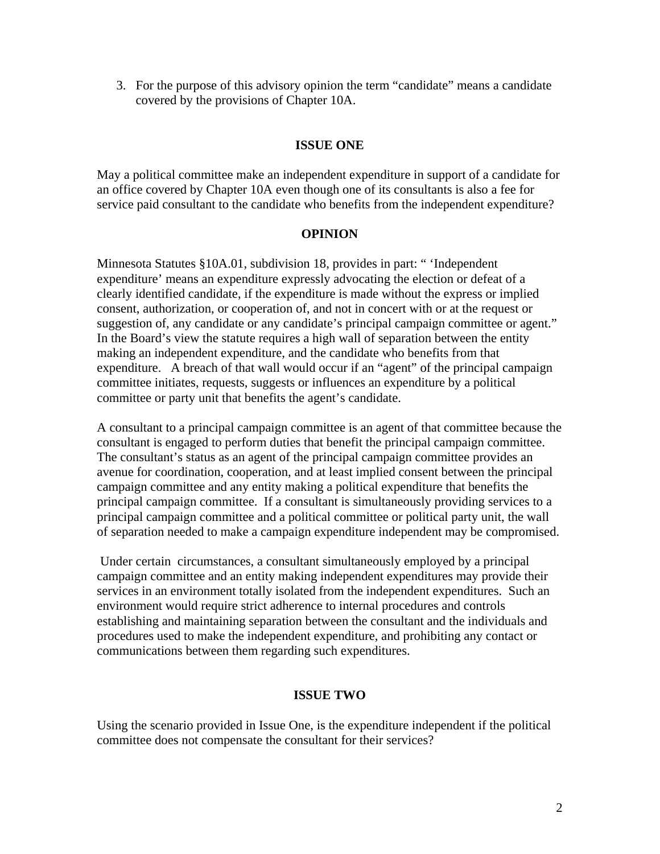3. For the purpose of this advisory opinion the term "candidate" means a candidate covered by the provisions of Chapter 10A.

## **ISSUE ONE**

May a political committee make an independent expenditure in support of a candidate for an office covered by Chapter 10A even though one of its consultants is also a fee for service paid consultant to the candidate who benefits from the independent expenditure?

## **OPINION**

Minnesota Statutes §10A.01, subdivision 18, provides in part: " 'Independent expenditure' means an expenditure expressly advocating the election or defeat of a clearly identified candidate, if the expenditure is made without the express or implied consent, authorization, or cooperation of, and not in concert with or at the request or suggestion of, any candidate or any candidate's principal campaign committee or agent." In the Board's view the statute requires a high wall of separation between the entity making an independent expenditure, and the candidate who benefits from that expenditure. A breach of that wall would occur if an "agent" of the principal campaign committee initiates, requests, suggests or influences an expenditure by a political committee or party unit that benefits the agent's candidate.

A consultant to a principal campaign committee is an agent of that committee because the consultant is engaged to perform duties that benefit the principal campaign committee. The consultant's status as an agent of the principal campaign committee provides an avenue for coordination, cooperation, and at least implied consent between the principal campaign committee and any entity making a political expenditure that benefits the principal campaign committee. If a consultant is simultaneously providing services to a principal campaign committee and a political committee or political party unit, the wall of separation needed to make a campaign expenditure independent may be compromised.

 Under certain circumstances, a consultant simultaneously employed by a principal campaign committee and an entity making independent expenditures may provide their services in an environment totally isolated from the independent expenditures. Such an environment would require strict adherence to internal procedures and controls establishing and maintaining separation between the consultant and the individuals and procedures used to make the independent expenditure, and prohibiting any contact or communications between them regarding such expenditures.

## **ISSUE TWO**

Using the scenario provided in Issue One, is the expenditure independent if the political committee does not compensate the consultant for their services?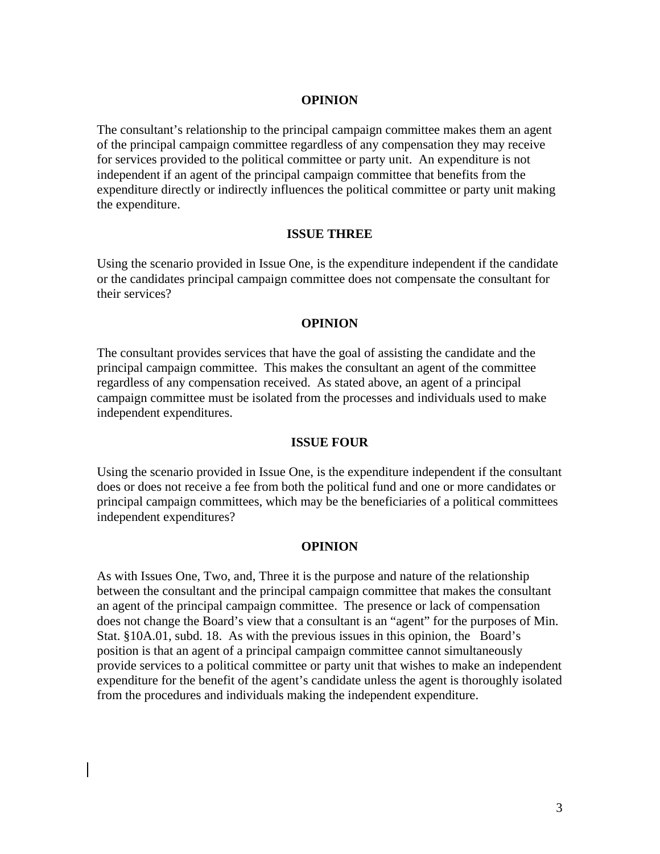#### **OPINION**

The consultant's relationship to the principal campaign committee makes them an agent of the principal campaign committee regardless of any compensation they may receive for services provided to the political committee or party unit. An expenditure is not independent if an agent of the principal campaign committee that benefits from the expenditure directly or indirectly influences the political committee or party unit making the expenditure.

#### **ISSUE THREE**

Using the scenario provided in Issue One, is the expenditure independent if the candidate or the candidates principal campaign committee does not compensate the consultant for their services?

#### **OPINION**

The consultant provides services that have the goal of assisting the candidate and the principal campaign committee. This makes the consultant an agent of the committee regardless of any compensation received. As stated above, an agent of a principal campaign committee must be isolated from the processes and individuals used to make independent expenditures.

#### **ISSUE FOUR**

Using the scenario provided in Issue One, is the expenditure independent if the consultant does or does not receive a fee from both the political fund and one or more candidates or principal campaign committees, which may be the beneficiaries of a political committees independent expenditures?

#### **OPINION**

As with Issues One, Two, and, Three it is the purpose and nature of the relationship between the consultant and the principal campaign committee that makes the consultant an agent of the principal campaign committee. The presence or lack of compensation does not change the Board's view that a consultant is an "agent" for the purposes of Min. Stat. §10A.01, subd. 18. As with the previous issues in this opinion, the Board's position is that an agent of a principal campaign committee cannot simultaneously provide services to a political committee or party unit that wishes to make an independent expenditure for the benefit of the agent's candidate unless the agent is thoroughly isolated from the procedures and individuals making the independent expenditure.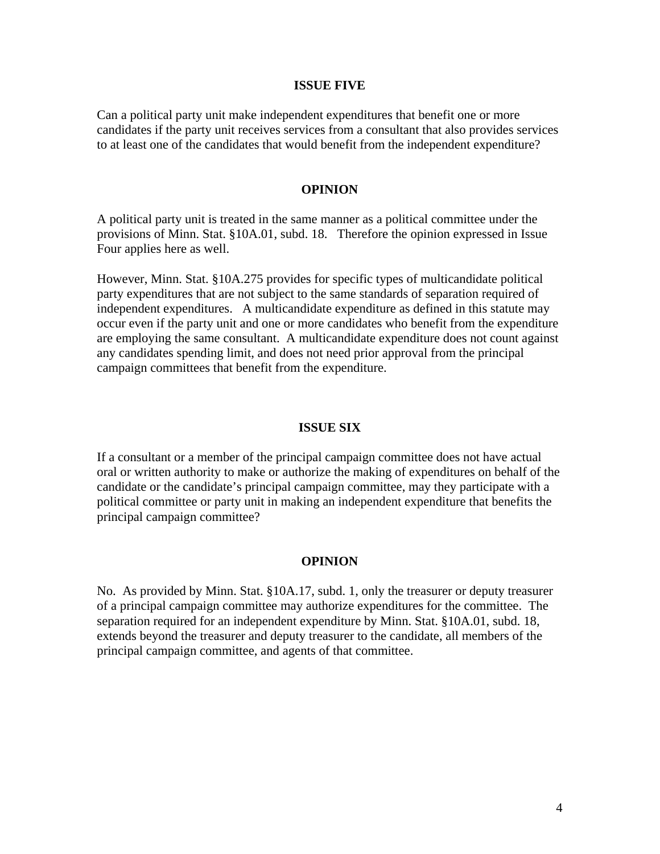#### **ISSUE FIVE**

Can a political party unit make independent expenditures that benefit one or more candidates if the party unit receives services from a consultant that also provides services to at least one of the candidates that would benefit from the independent expenditure?

### **OPINION**

A political party unit is treated in the same manner as a political committee under the provisions of Minn. Stat. §10A.01, subd. 18. Therefore the opinion expressed in Issue Four applies here as well.

However, Minn. Stat. §10A.275 provides for specific types of multicandidate political party expenditures that are not subject to the same standards of separation required of independent expenditures. A multicandidate expenditure as defined in this statute may occur even if the party unit and one or more candidates who benefit from the expenditure are employing the same consultant. A multicandidate expenditure does not count against any candidates spending limit, and does not need prior approval from the principal campaign committees that benefit from the expenditure.

#### **ISSUE SIX**

If a consultant or a member of the principal campaign committee does not have actual oral or written authority to make or authorize the making of expenditures on behalf of the candidate or the candidate's principal campaign committee, may they participate with a political committee or party unit in making an independent expenditure that benefits the principal campaign committee?

#### **OPINION**

No. As provided by Minn. Stat. §10A.17, subd. 1, only the treasurer or deputy treasurer of a principal campaign committee may authorize expenditures for the committee. The separation required for an independent expenditure by Minn. Stat. §10A.01, subd. 18, extends beyond the treasurer and deputy treasurer to the candidate, all members of the principal campaign committee, and agents of that committee.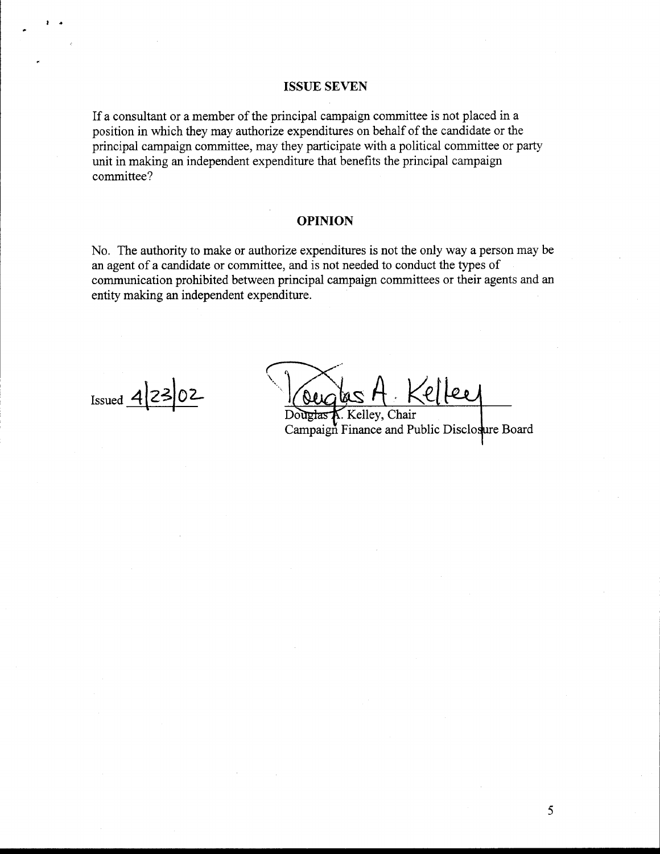#### **ISSUE SEVEN**

If a consultant or a member of the principal campaign committee is not placed in a position in which they may authorize expenditures on behalf of the candidate or the principal campaign committee, may they participate with a political committee or party unit in making an independent expenditure that benefits the principal campaign committee?

#### **OPINION**

No. The authority to make or authorize expenditures is not the only way a person may be an agent of a candidate or committee, and is not needed to conduct the types of communication prohibited between principal campaign committees or their agents and an entity making an independent expenditure.

Issued  $4|23|02$ 

ellee

uetas K. Kelley, Chair Campaign Finance and Public Disclosure Board